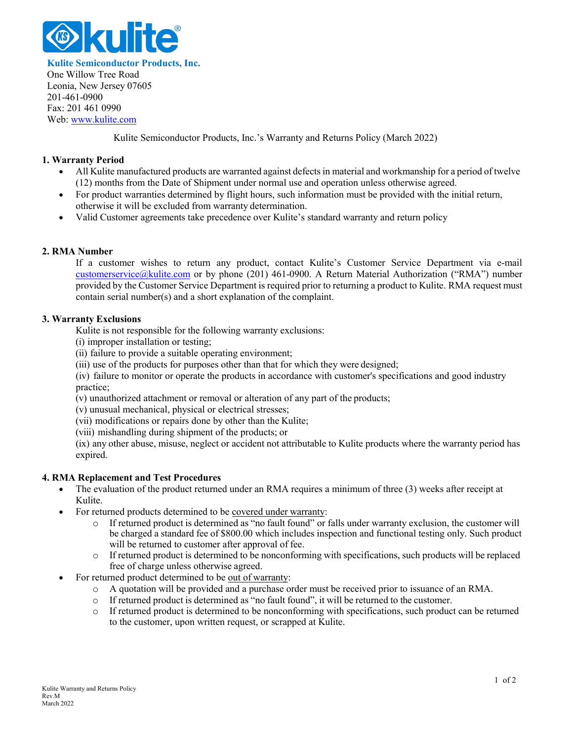

**Kulite Semiconductor Products, Inc.** One Willow Tree Road Leonia, New Jersey 07605 201-461-0900 Fax: 201 461 0990 Web[: www.kulite.com](http://www.kulite.com/)

Kulite Semiconductor Products, Inc.'s Warranty and Returns Policy (March 2022)

## **1. Warranty Period**

- All Kulite manufactured products are warranted against defectsin material and workmanship for a period of twelve (12) months from the Date of Shipment under normal use and operation unless otherwise agreed.
- For product warranties determined by flight hours, such information must be provided with the initial return, otherwise it will be excluded from warranty determination.
- Valid Customer agreements take precedence over Kulite's standard warranty and return policy

## **2. RMA Number**

If a customer wishes to return any product, contact Kulite's Customer Service Department via e-mail [customerservice@kulite.com](mailto:customerservice@kulite.com) or by phone (201) 461-0900. A Return Material Authorization ("RMA") number provided by the Customer Service Department is required prior to returning a product to Kulite. RMA request must contain serial number(s) and a short explanation of the complaint.

#### **3. Warranty Exclusions**

Kulite is not responsible for the following warranty exclusions:

- (i) improper installation or testing;
- (ii) failure to provide a suitable operating environment;
- (iii) use of the products for purposes other than that for which they were designed;

(iv) failure to monitor or operate the products in accordance with customer's specifications and good industry practice;

(v) unauthorized attachment or removal or alteration of any part of the products;

(v) unusual mechanical, physical or electrical stresses;

(vii) modifications or repairs done by other than the Kulite;

(viii) mishandling during shipment of the products; or

(ix) any other abuse, misuse, neglect or accident not attributable to Kulite products where the warranty period has expired.

#### **4. RMA Replacement and Test Procedures**

- The evaluation of the product returned under an RMA requires a minimum of three (3) weeks after receipt at Kulite.
- For returned products determined to be covered under warranty:
	- o If returned product is determined as "no fault found" or falls under warranty exclusion, the customer will be charged a standard fee of \$800.00 which includes inspection and functional testing only. Such product will be returned to customer after approval of fee.
	- o If returned product is determined to be nonconforming with specifications, such products will be replaced free of charge unless otherwise agreed.
- For returned product determined to be out of warranty:
	- o A quotation will be provided and a purchase order must be received prior to issuance of an RMA.
	- o If returned product is determined as "no fault found", it will be returned to the customer.
	- o If returned product is determined to be nonconforming with specifications, such product can be returned to the customer, upon written request, or scrapped at Kulite.